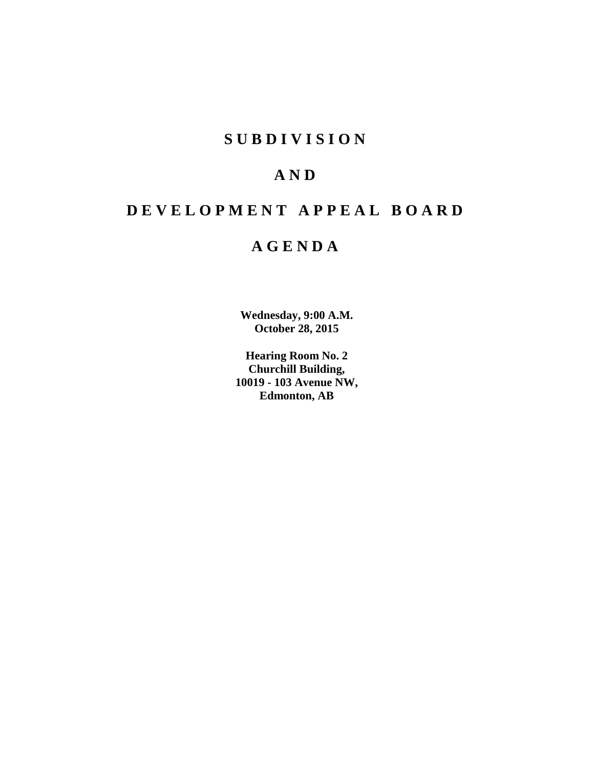# **S U B D I V I S I O N**

# **A N D**

# **D E V E L O P M E N T A P P E A L B O A R D**

# **A G E N D A**

**Wednesday, 9:00 A.M. October 28, 2015**

**Hearing Room No. 2 Churchill Building, 10019 - 103 Avenue NW, Edmonton, AB**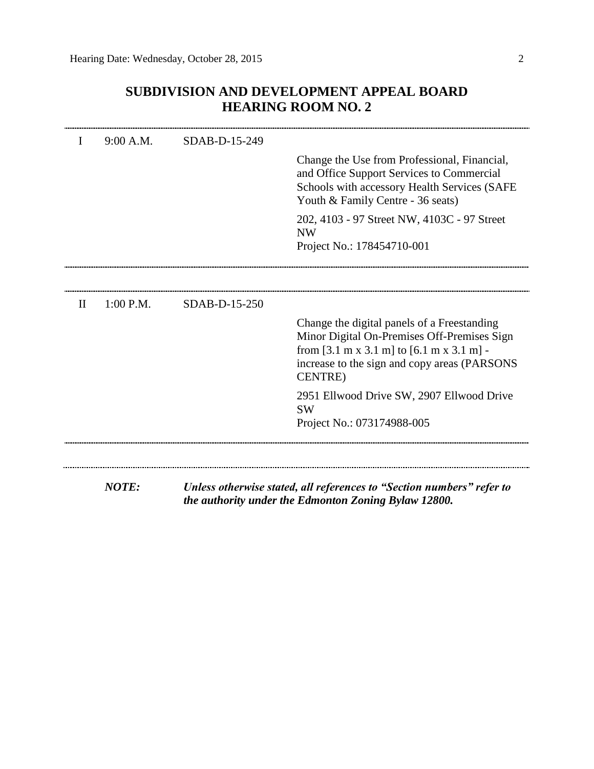| SUBDIVISION AND DEVELOPMENT APPEAL BOARD |
|------------------------------------------|
| <b>HEARING ROOM NO. 2</b>                |

| I            | 9:00 A.M.    | SDAB-D-15-249 |                                                                                                                                                                                                                       |
|--------------|--------------|---------------|-----------------------------------------------------------------------------------------------------------------------------------------------------------------------------------------------------------------------|
|              |              |               | Change the Use from Professional, Financial,<br>and Office Support Services to Commercial<br>Schools with accessory Health Services (SAFE<br>Youth & Family Centre - 36 seats)                                        |
|              |              |               | 202, 4103 - 97 Street NW, 4103C - 97 Street<br><b>NW</b><br>Project No.: 178454710-001                                                                                                                                |
|              |              |               |                                                                                                                                                                                                                       |
| $\mathbf{H}$ | $1:00$ P.M.  | SDAB-D-15-250 |                                                                                                                                                                                                                       |
|              |              |               | Change the digital panels of a Freestanding<br>Minor Digital On-Premises Off-Premises Sign<br>from [3.1 m x 3.1 m] to $[6.1 \text{ m x 3.1 m}]$ -<br>increase to the sign and copy areas (PARSONS)<br><b>CENTRE</b> ) |
|              |              |               | 2951 Ellwood Drive SW, 2907 Ellwood Drive<br><b>SW</b>                                                                                                                                                                |
|              |              |               | Project No.: 073174988-005                                                                                                                                                                                            |
|              |              |               |                                                                                                                                                                                                                       |
|              | <b>NOTE:</b> |               | Unless otherwise stated, all references to "Section numbers" refer to<br>the authority under the Edmonton Zoning Bylaw 12800.                                                                                         |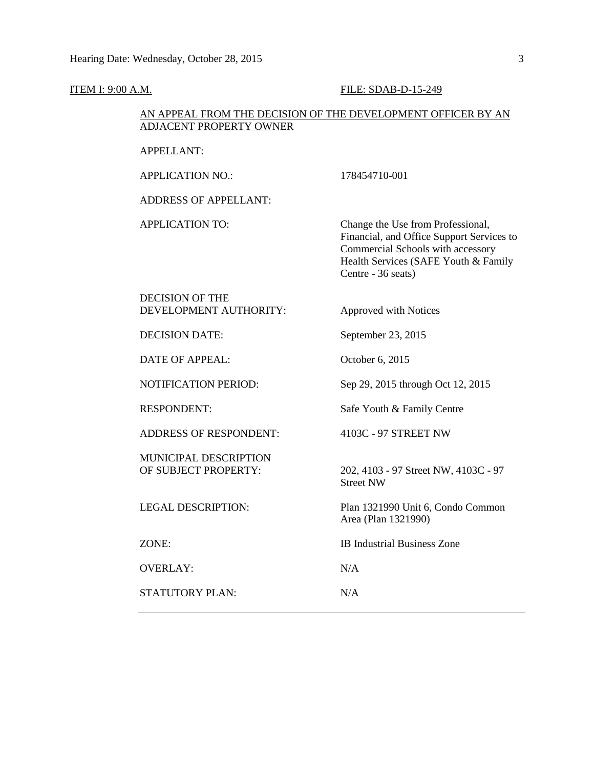#### **ITEM I: 9:00 A.M. FILE: SDAB-D-15-249**

## AN APPEAL FROM THE DECISION OF THE DEVELOPMENT OFFICER BY AN ADJACENT PROPERTY OWNER

APPELLANT:

APPLICATION NO.: 178454710-001

ADDRESS OF APPELLANT:

APPLICATION TO: Change the Use from Professional, Financial, and Office Support Services to Commercial Schools with accessory Health Services (SAFE Youth & Family Centre - 36 seats)

DECISION OF THE DEVELOPMENT AUTHORITY: Approved with Notices

DECISION DATE: September 23, 2015

DATE OF APPEAL: October 6, 2015

ADDRESS OF RESPONDENT: 4103C - 97 STREET NW

MUNICIPAL DESCRIPTION

OVERLAY: N/A

STATUTORY PLAN: N/A

NOTIFICATION PERIOD: Sep 29, 2015 through Oct 12, 2015

RESPONDENT: Safe Youth & Family Centre

OF SUBJECT PROPERTY: 202, 4103 - 97 Street NW, 4103C - 97 Street NW

LEGAL DESCRIPTION: Plan 1321990 Unit 6, Condo Common Area (Plan 1321990)

ZONE: IB Industrial Business Zone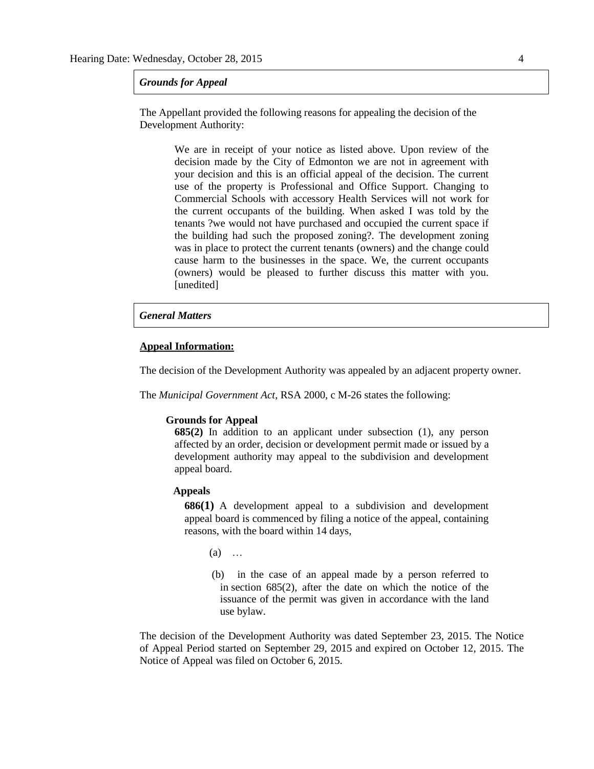#### *Grounds for Appeal*

The Appellant provided the following reasons for appealing the decision of the Development Authority:

> We are in receipt of your notice as listed above. Upon review of the decision made by the City of Edmonton we are not in agreement with your decision and this is an official appeal of the decision. The current use of the property is Professional and Office Support. Changing to Commercial Schools with accessory Health Services will not work for the current occupants of the building. When asked I was told by the tenants ?we would not have purchased and occupied the current space if the building had such the proposed zoning?. The development zoning was in place to protect the current tenants (owners) and the change could cause harm to the businesses in the space. We, the current occupants (owners) would be pleased to further discuss this matter with you. [unedited]

#### *General Matters*

#### **Appeal Information:**

The decision of the Development Authority was appealed by an adjacent property owner.

The *Municipal Government Act*, RSA 2000, c M-26 states the following:

#### **Grounds for Appeal**

**685(2)** In addition to an applicant under subsection (1), any person affected by an order, decision or development permit made or issued by a development authority may appeal to the subdivision and development appeal board.

#### **Appeals**

**686(1)** A development appeal to a subdivision and development appeal board is commenced by filing a notice of the appeal, containing reasons, with the board within 14 days,

 $(a)$  …

 (b) in the case of an appeal made by a person referred to in section 685(2), after the date on which the notice of the issuance of the permit was given in accordance with the land use bylaw.

The decision of the Development Authority was dated September 23, 2015. The Notice of Appeal Period started on September 29, 2015 and expired on October 12, 2015. The Notice of Appeal was filed on October 6, 2015.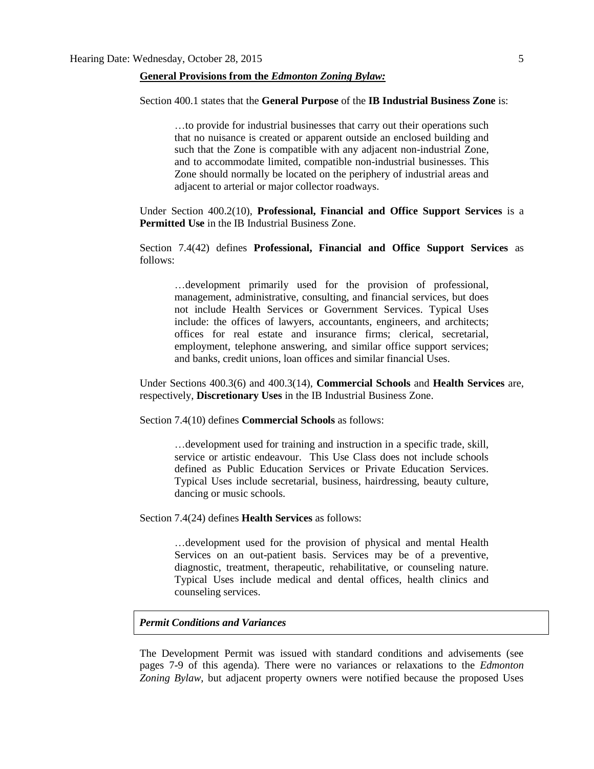#### **General Provisions from the** *Edmonton Zoning Bylaw:*

#### Section 400.1 states that the **General Purpose** of the **IB Industrial Business Zone** is:

…to provide for industrial businesses that carry out their operations such that no nuisance is created or apparent outside an enclosed building and such that the Zone is compatible with any adjacent non-industrial Zone, and to accommodate limited, compatible non-industrial businesses. This Zone should normally be located on the periphery of industrial areas and adjacent to arterial or major collector roadways.

Under Section 400.2(10), **Professional, Financial and Office Support Services** is a **Permitted Use** in the IB Industrial Business Zone.

Section 7.4(42) defines **Professional, Financial and Office Support Services** as follows:

…development primarily used for the provision of professional, management, administrative, consulting, and financial services, but does not include Health Services or Government Services. Typical Uses include: the offices of lawyers, accountants, engineers, and architects; offices for real estate and insurance firms; clerical, secretarial, employment, telephone answering, and similar office support services; and banks, credit unions, loan offices and similar financial Uses.

Under Sections 400.3(6) and 400.3(14), **Commercial Schools** and **Health Services** are, respectively, **Discretionary Uses** in the IB Industrial Business Zone.

Section 7.4(10) defines **Commercial Schools** as follows:

…development used for training and instruction in a specific trade, skill, service or artistic endeavour. This Use Class does not include schools defined as Public Education Services or Private Education Services. Typical Uses include secretarial, business, hairdressing, beauty culture, dancing or music schools.

Section 7.4(24) defines **Health Services** as follows:

…development used for the provision of physical and mental Health Services on an out-patient basis. Services may be of a preventive, diagnostic, treatment, therapeutic, rehabilitative, or counseling nature. Typical Uses include medical and dental offices, health clinics and counseling services.

### *Permit Conditions and Variances*

The Development Permit was issued with standard conditions and advisements (see pages 7-9 of this agenda). There were no variances or relaxations to the *Edmonton Zoning Bylaw,* but adjacent property owners were notified because the proposed Uses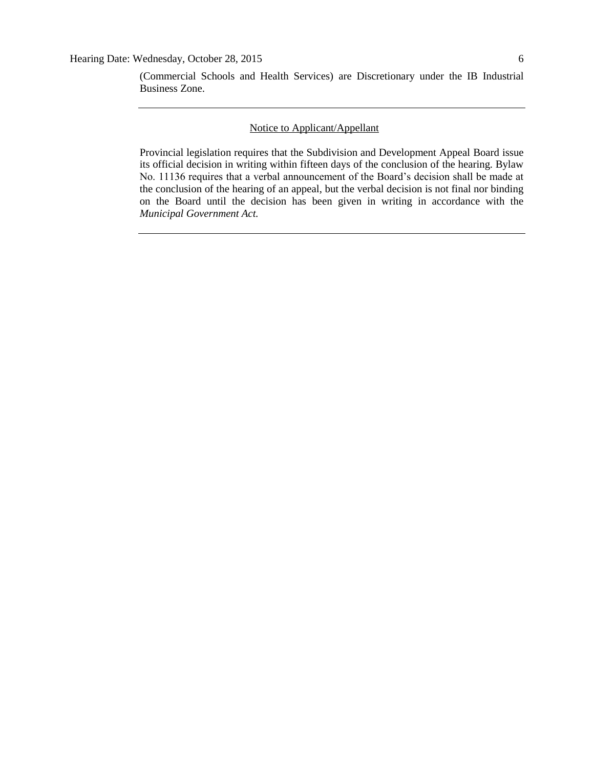(Commercial Schools and Health Services) are Discretionary under the IB Industrial Business Zone.

## Notice to Applicant/Appellant

Provincial legislation requires that the Subdivision and Development Appeal Board issue its official decision in writing within fifteen days of the conclusion of the hearing. Bylaw No. 11136 requires that a verbal announcement of the Board's decision shall be made at the conclusion of the hearing of an appeal, but the verbal decision is not final nor binding on the Board until the decision has been given in writing in accordance with the *Municipal Government Act.*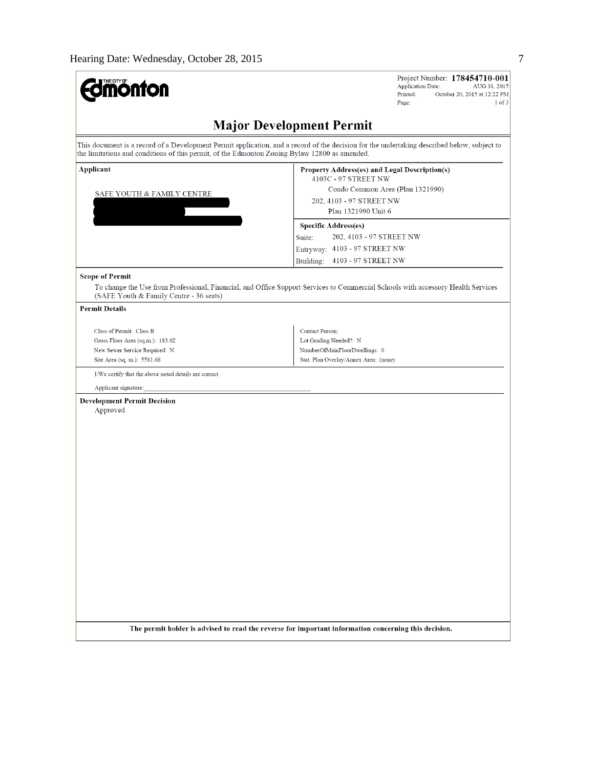| <b>Major Development Permit</b><br>This document is a record of a Development Permit application, and a record of the decision for the undertaking described below, subject to<br>the limitations and conditions of this permit, of the Edmonton Zoning Bylaw 12800 as amended.<br><b>Applicant</b><br><b>Property Address(es) and Legal Description(s)</b><br>4103C - 97 STREET NW<br>Condo Common Area (Plan 1321990)<br>SAFE YOUTH & FAMILY CENTRE<br>202, 4103 - 97 STREET NW<br>Plan 1321990 Unit 6<br><b>Specific Address(es)</b><br>202, 4103 - 97 STREET NW<br>Suite:<br>Entryway: 4103 - 97 STREET NW<br>4103 - 97 STREET NW<br>Building:<br><b>Scope of Permit</b><br>To change the Use from Professional, Financial, and Office Support Services to Commercial Schools with accessory Health Services<br>(SAFE Youth & Family Centre - 36 seats)<br><b>Permit Details</b><br><b>Contact Person:</b><br>Class of Permit: Class B<br>Gross Floor Area (sq.m.): 183.02<br>Lot Grading Needed?: N<br>New Sewer Service Required: N<br>NumberOfMainFloorDwellings: 0<br>Site Area (sq. m.): 5581.68<br>Stat. Plan Overlay/Annex Area: (none)<br>I/We certify that the above noted details are correct.<br>Applicant signature:<br><b>Development Permit Decision</b><br>Approved | <b>Umönton</b> | Project Number: 178454710-001<br><b>Application Date:</b><br>AUG 31, 2015<br>Printed:<br>October 20, 2015 at 12:22 PM<br>$1$ of $3$<br>Page: |
|----------------------------------------------------------------------------------------------------------------------------------------------------------------------------------------------------------------------------------------------------------------------------------------------------------------------------------------------------------------------------------------------------------------------------------------------------------------------------------------------------------------------------------------------------------------------------------------------------------------------------------------------------------------------------------------------------------------------------------------------------------------------------------------------------------------------------------------------------------------------------------------------------------------------------------------------------------------------------------------------------------------------------------------------------------------------------------------------------------------------------------------------------------------------------------------------------------------------------------------------------------------------------------------|----------------|----------------------------------------------------------------------------------------------------------------------------------------------|
|                                                                                                                                                                                                                                                                                                                                                                                                                                                                                                                                                                                                                                                                                                                                                                                                                                                                                                                                                                                                                                                                                                                                                                                                                                                                                        |                |                                                                                                                                              |
|                                                                                                                                                                                                                                                                                                                                                                                                                                                                                                                                                                                                                                                                                                                                                                                                                                                                                                                                                                                                                                                                                                                                                                                                                                                                                        |                |                                                                                                                                              |
|                                                                                                                                                                                                                                                                                                                                                                                                                                                                                                                                                                                                                                                                                                                                                                                                                                                                                                                                                                                                                                                                                                                                                                                                                                                                                        |                |                                                                                                                                              |
|                                                                                                                                                                                                                                                                                                                                                                                                                                                                                                                                                                                                                                                                                                                                                                                                                                                                                                                                                                                                                                                                                                                                                                                                                                                                                        |                |                                                                                                                                              |
|                                                                                                                                                                                                                                                                                                                                                                                                                                                                                                                                                                                                                                                                                                                                                                                                                                                                                                                                                                                                                                                                                                                                                                                                                                                                                        |                |                                                                                                                                              |
|                                                                                                                                                                                                                                                                                                                                                                                                                                                                                                                                                                                                                                                                                                                                                                                                                                                                                                                                                                                                                                                                                                                                                                                                                                                                                        |                |                                                                                                                                              |
|                                                                                                                                                                                                                                                                                                                                                                                                                                                                                                                                                                                                                                                                                                                                                                                                                                                                                                                                                                                                                                                                                                                                                                                                                                                                                        |                |                                                                                                                                              |
|                                                                                                                                                                                                                                                                                                                                                                                                                                                                                                                                                                                                                                                                                                                                                                                                                                                                                                                                                                                                                                                                                                                                                                                                                                                                                        |                |                                                                                                                                              |
|                                                                                                                                                                                                                                                                                                                                                                                                                                                                                                                                                                                                                                                                                                                                                                                                                                                                                                                                                                                                                                                                                                                                                                                                                                                                                        |                |                                                                                                                                              |
|                                                                                                                                                                                                                                                                                                                                                                                                                                                                                                                                                                                                                                                                                                                                                                                                                                                                                                                                                                                                                                                                                                                                                                                                                                                                                        |                |                                                                                                                                              |
|                                                                                                                                                                                                                                                                                                                                                                                                                                                                                                                                                                                                                                                                                                                                                                                                                                                                                                                                                                                                                                                                                                                                                                                                                                                                                        |                |                                                                                                                                              |
|                                                                                                                                                                                                                                                                                                                                                                                                                                                                                                                                                                                                                                                                                                                                                                                                                                                                                                                                                                                                                                                                                                                                                                                                                                                                                        |                |                                                                                                                                              |
|                                                                                                                                                                                                                                                                                                                                                                                                                                                                                                                                                                                                                                                                                                                                                                                                                                                                                                                                                                                                                                                                                                                                                                                                                                                                                        |                |                                                                                                                                              |
| The permit holder is advised to read the reverse for important information concerning this decision.                                                                                                                                                                                                                                                                                                                                                                                                                                                                                                                                                                                                                                                                                                                                                                                                                                                                                                                                                                                                                                                                                                                                                                                   |                |                                                                                                                                              |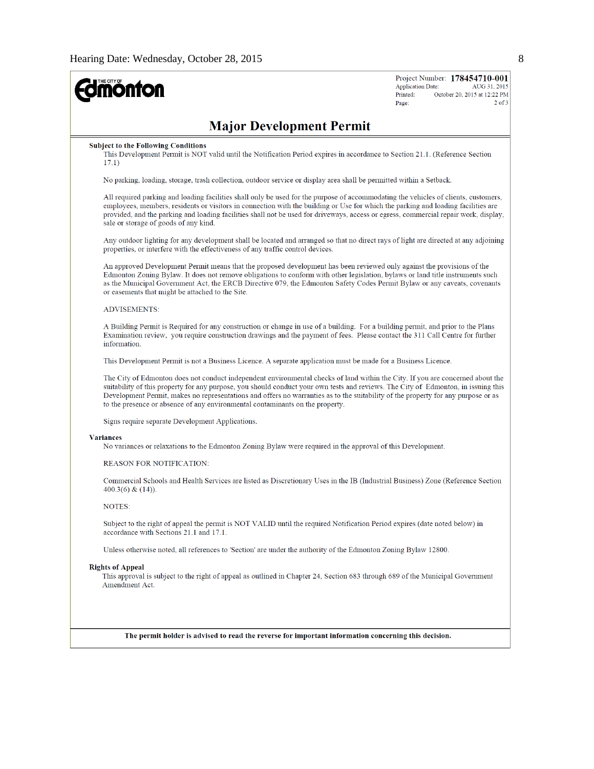

Project Number: 178454710-001 **Application Date:** AUG 31, 2015 October 20, 2015 at 12:22 PM  $2$  of  $3$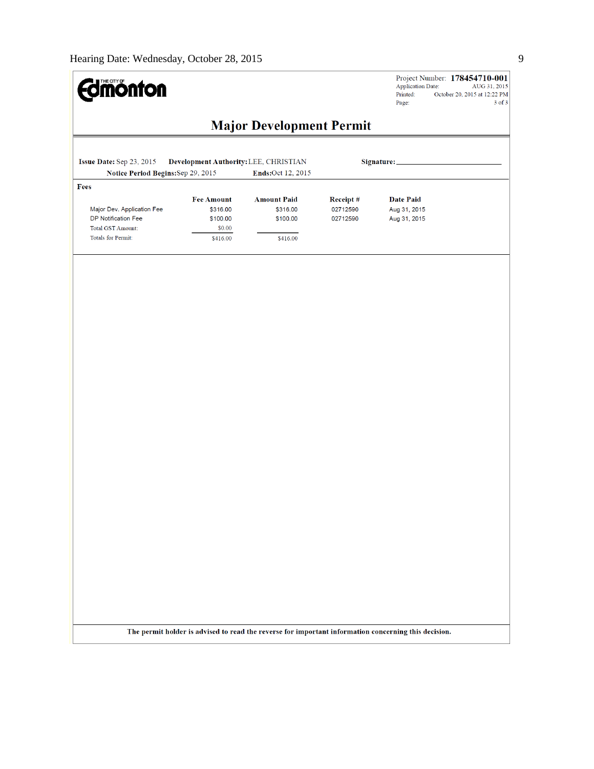

Project Number: 178454710-001<br>Application Date: AUG 31, 2015<br>Printed: October 20, 2015 at 12:22 PM Page: 3 of 3

# **Major Development Permit**

| Issue Date: Sep 23, 2015<br>Notice Period Begins: Sep 29, 2015 |                                           | Development Authority: LEE, CHRISTIAN<br>Ends:Oct 12, 2015 |                                  |                                                  |  |
|----------------------------------------------------------------|-------------------------------------------|------------------------------------------------------------|----------------------------------|--------------------------------------------------|--|
|                                                                |                                           |                                                            |                                  |                                                  |  |
| Fees<br>Major Dev. Application Fee<br>DP Notification Fee      | <b>Fee Amount</b><br>\$316.00<br>\$100.00 | <b>Amount Paid</b><br>\$316.00<br>\$100.00                 | Receipt#<br>02712590<br>02712590 | <b>Date Paid</b><br>Aug 31, 2015<br>Aug 31, 2015 |  |
| <b>Total GST Amount:</b>                                       | \$0.00                                    |                                                            |                                  |                                                  |  |
| Totals for Permit:                                             | \$416.00                                  | \$416.00                                                   |                                  |                                                  |  |
|                                                                |                                           |                                                            |                                  |                                                  |  |
|                                                                |                                           |                                                            |                                  |                                                  |  |
|                                                                |                                           |                                                            |                                  |                                                  |  |
|                                                                |                                           |                                                            |                                  |                                                  |  |
|                                                                |                                           |                                                            |                                  |                                                  |  |
|                                                                |                                           |                                                            |                                  |                                                  |  |
|                                                                |                                           |                                                            |                                  |                                                  |  |
|                                                                |                                           |                                                            |                                  |                                                  |  |
|                                                                |                                           |                                                            |                                  |                                                  |  |
|                                                                |                                           |                                                            |                                  |                                                  |  |
|                                                                |                                           |                                                            |                                  |                                                  |  |
|                                                                |                                           |                                                            |                                  |                                                  |  |
|                                                                |                                           |                                                            |                                  |                                                  |  |
|                                                                |                                           |                                                            |                                  |                                                  |  |
|                                                                |                                           |                                                            |                                  |                                                  |  |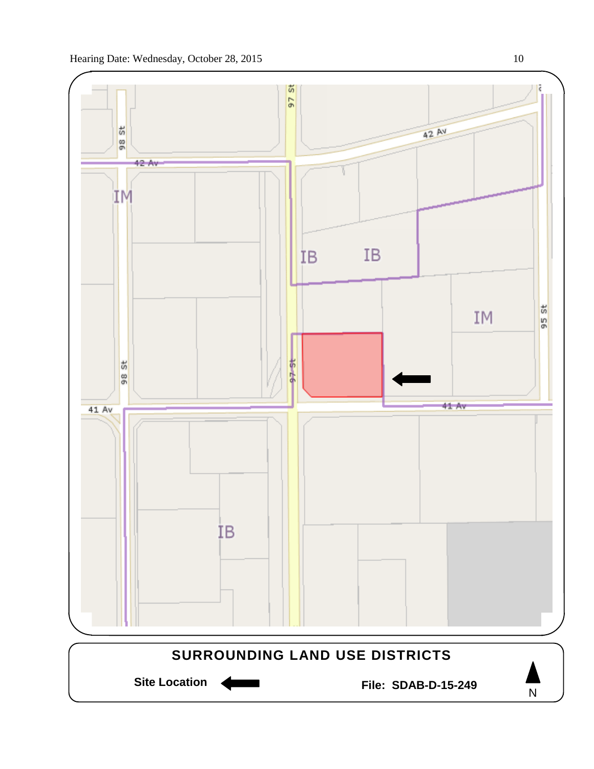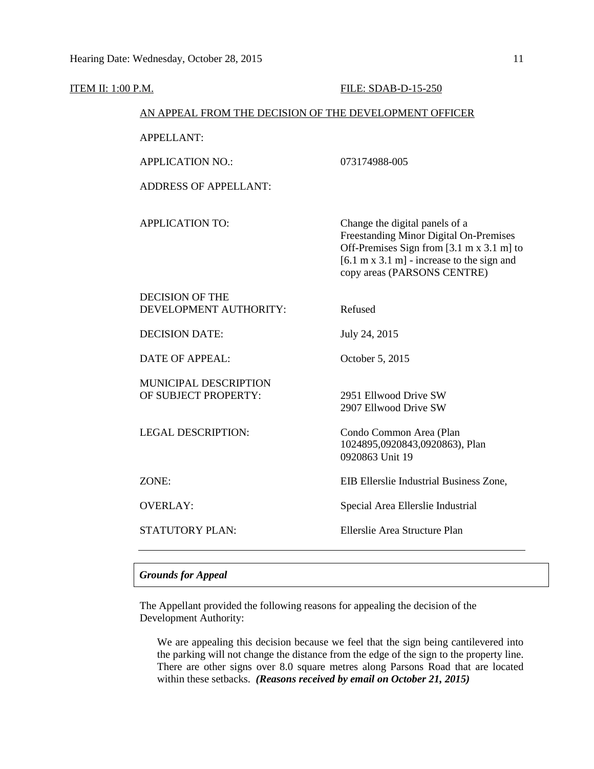| ITEM II: 1:00 P.M.                                     |                                                  | FILE: SDAB-D-15-250                                                                                                                                                                                                   |
|--------------------------------------------------------|--------------------------------------------------|-----------------------------------------------------------------------------------------------------------------------------------------------------------------------------------------------------------------------|
| AN APPEAL FROM THE DECISION OF THE DEVELOPMENT OFFICER |                                                  |                                                                                                                                                                                                                       |
|                                                        | <b>APPELLANT:</b>                                |                                                                                                                                                                                                                       |
|                                                        | <b>APPLICATION NO.:</b>                          | 073174988-005                                                                                                                                                                                                         |
|                                                        | <b>ADDRESS OF APPELLANT:</b>                     |                                                                                                                                                                                                                       |
|                                                        | <b>APPLICATION TO:</b>                           | Change the digital panels of a<br>Freestanding Minor Digital On-Premises<br>Off-Premises Sign from [3.1 m x 3.1 m] to<br>$[6.1 \text{ m x } 3.1 \text{ m}]$ - increase to the sign and<br>copy areas (PARSONS CENTRE) |
|                                                        | <b>DECISION OF THE</b><br>DEVELOPMENT AUTHORITY: | Refused                                                                                                                                                                                                               |
|                                                        | <b>DECISION DATE:</b>                            | July 24, 2015                                                                                                                                                                                                         |
|                                                        | <b>DATE OF APPEAL:</b>                           | October 5, 2015                                                                                                                                                                                                       |
|                                                        | MUNICIPAL DESCRIPTION<br>OF SUBJECT PROPERTY:    | 2951 Ellwood Drive SW<br>2907 Ellwood Drive SW                                                                                                                                                                        |
|                                                        | <b>LEGAL DESCRIPTION:</b>                        | Condo Common Area (Plan<br>1024895,0920843,0920863), Plan<br>0920863 Unit 19                                                                                                                                          |
|                                                        | ZONE:                                            | EIB Ellerslie Industrial Business Zone,                                                                                                                                                                               |
|                                                        | <b>OVERLAY:</b>                                  | Special Area Ellerslie Industrial                                                                                                                                                                                     |
|                                                        | <b>STATUTORY PLAN:</b>                           | Ellerslie Area Structure Plan                                                                                                                                                                                         |
|                                                        |                                                  |                                                                                                                                                                                                                       |

## *Grounds for Appeal*

The Appellant provided the following reasons for appealing the decision of the Development Authority:

We are appealing this decision because we feel that the sign being cantilevered into the parking will not change the distance from the edge of the sign to the property line. There are other signs over 8.0 square metres along Parsons Road that are located within these setbacks. *(Reasons received by email on October 21, 2015)*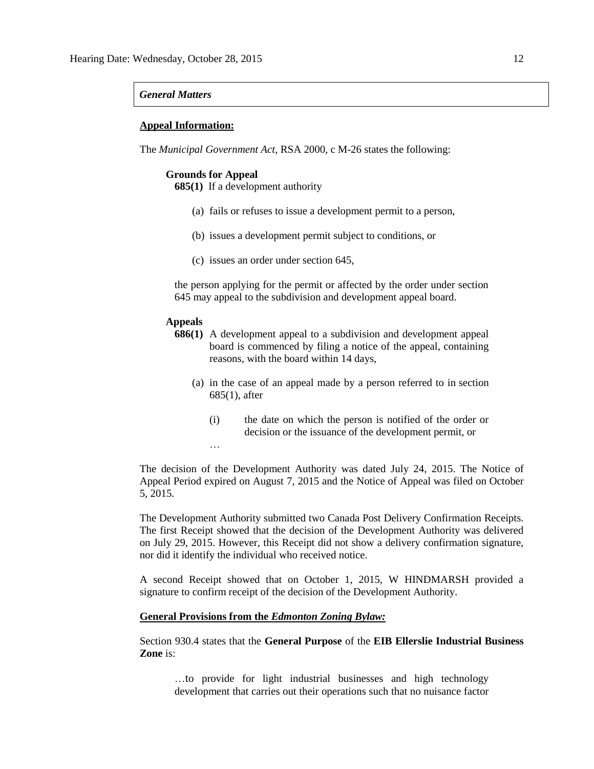#### *General Matters*

#### **Appeal Information:**

The *Municipal Government Act*, RSA 2000, c M-26 states the following:

#### **Grounds for Appeal**

**685(1)** If a development authority

- (a) fails or refuses to issue a development permit to a person,
- (b) issues a development permit subject to conditions, or
- (c) issues an order under section 645,

the person applying for the permit or affected by the order under section 645 may appeal to the subdivision and development appeal board.

#### **Appeals**

…

- **686(1)** A development appeal to a subdivision and development appeal board is commenced by filing a notice of the appeal, containing reasons, with the board within 14 days,
	- (a) in the case of an appeal made by a person referred to in section 685(1), after
		- (i) the date on which the person is notified of the order or decision or the issuance of the development permit, or

The decision of the Development Authority was dated July 24, 2015. The Notice of Appeal Period expired on August 7, 2015 and the Notice of Appeal was filed on October 5, 2015.

The Development Authority submitted two Canada Post Delivery Confirmation Receipts. The first Receipt showed that the decision of the Development Authority was delivered on July 29, 2015. However, this Receipt did not show a delivery confirmation signature, nor did it identify the individual who received notice.

A second Receipt showed that on October 1, 2015, W HINDMARSH provided a signature to confirm receipt of the decision of the Development Authority.

#### **General Provisions from the** *Edmonton Zoning Bylaw:*

Section 930.4 states that the **General Purpose** of the **EIB Ellerslie Industrial Business Zone** is:

…to provide for light industrial businesses and high technology development that carries out their operations such that no nuisance factor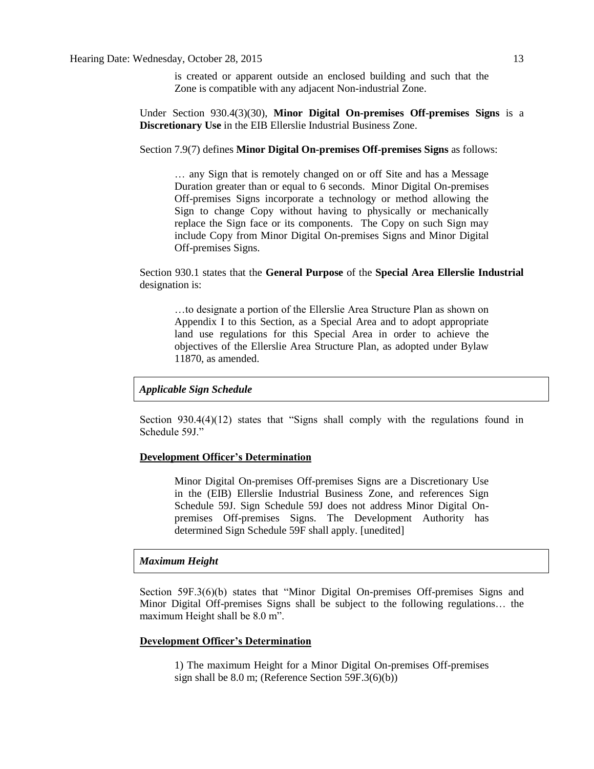is created or apparent outside an enclosed building and such that the Zone is compatible with any adjacent Non-industrial Zone.

Under Section 930.4(3)(30), **Minor Digital On-premises Off-premises Signs** is a **Discretionary Use** in the EIB Ellerslie Industrial Business Zone.

Section 7.9(7) defines **Minor Digital On-premises Off-premises Signs** as follows:

… any Sign that is remotely changed on or off Site and has a Message Duration greater than or equal to 6 seconds. Minor Digital On-premises Off-premises Signs incorporate a technology or method allowing the Sign to change Copy without having to physically or mechanically replace the Sign face or its components. The Copy on such Sign may include Copy from Minor Digital On-premises Signs and Minor Digital Off-premises Signs.

Section 930.1 states that the **General Purpose** of the **Special Area Ellerslie Industrial** designation is:

…to designate a portion of the Ellerslie Area Structure Plan as shown on Appendix I to this Section, as a Special Area and to adopt appropriate land use regulations for this Special Area in order to achieve the objectives of the Ellerslie Area Structure Plan, as adopted under Bylaw 11870, as amended.

#### *Applicable Sign Schedule*

Section 930.4(4)(12) states that "Signs shall comply with the regulations found in Schedule 59J."

#### **Development Officer's Determination**

Minor Digital On-premises Off-premises Signs are a Discretionary Use in the (EIB) Ellerslie Industrial Business Zone, and references Sign Schedule 59J. Sign Schedule 59J does not address Minor Digital Onpremises Off-premises Signs. The Development Authority has determined Sign Schedule 59F shall apply. [unedited]

#### *Maximum Height*

Section 59F.3(6)(b) states that "Minor Digital On-premises Off-premises Signs and Minor Digital Off-premises Signs shall be subject to the following regulations… the maximum Height shall be 8.0 m".

#### **Development Officer's Determination**

1) The maximum Height for a Minor Digital On-premises Off-premises sign shall be 8.0 m; (Reference Section 59F.3(6)(b))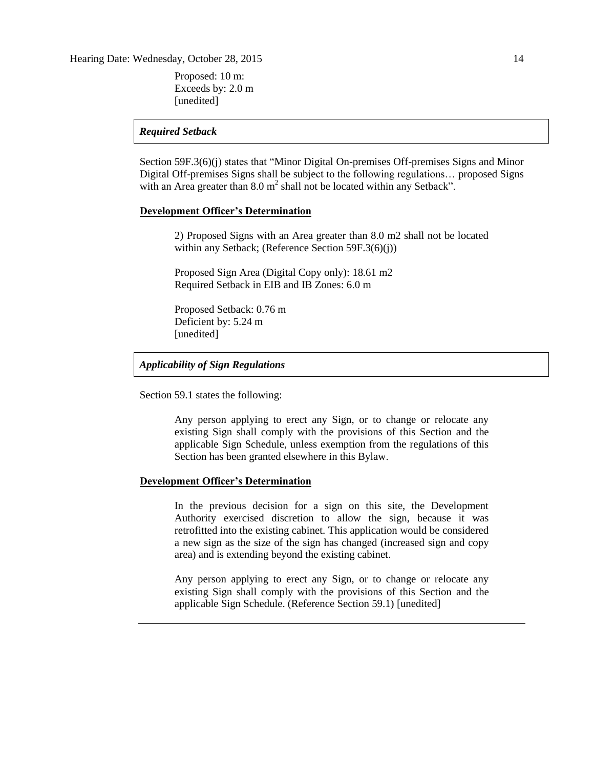Hearing Date: Wednesday, October 28, 2015 14

Proposed: 10 m: Exceeds by: 2.0 m [unedited]

### *Required Setback*

Section 59F.3(6)(j) states that "Minor Digital On-premises Off-premises Signs and Minor Digital Off-premises Signs shall be subject to the following regulations… proposed Signs with an Area greater than  $8.0 \text{ m}^2$  shall not be located within any Setback".

## **Development Officer's Determination**

2) Proposed Signs with an Area greater than 8.0 m2 shall not be located within any Setback; (Reference Section 59F.3(6)(j))

Proposed Sign Area (Digital Copy only): 18.61 m2 Required Setback in EIB and IB Zones: 6.0 m

Proposed Setback: 0.76 m Deficient by: 5.24 m [unedited]

#### *Applicability of Sign Regulations*

Section 59.1 states the following:

Any person applying to erect any Sign, or to change or relocate any existing Sign shall comply with the provisions of this Section and the applicable Sign Schedule, unless exemption from the regulations of this Section has been granted elsewhere in this Bylaw.

#### **Development Officer's Determination**

In the previous decision for a sign on this site, the Development Authority exercised discretion to allow the sign, because it was retrofitted into the existing cabinet. This application would be considered a new sign as the size of the sign has changed (increased sign and copy area) and is extending beyond the existing cabinet.

Any person applying to erect any Sign, or to change or relocate any existing Sign shall comply with the provisions of this Section and the applicable Sign Schedule. (Reference Section 59.1) [unedited]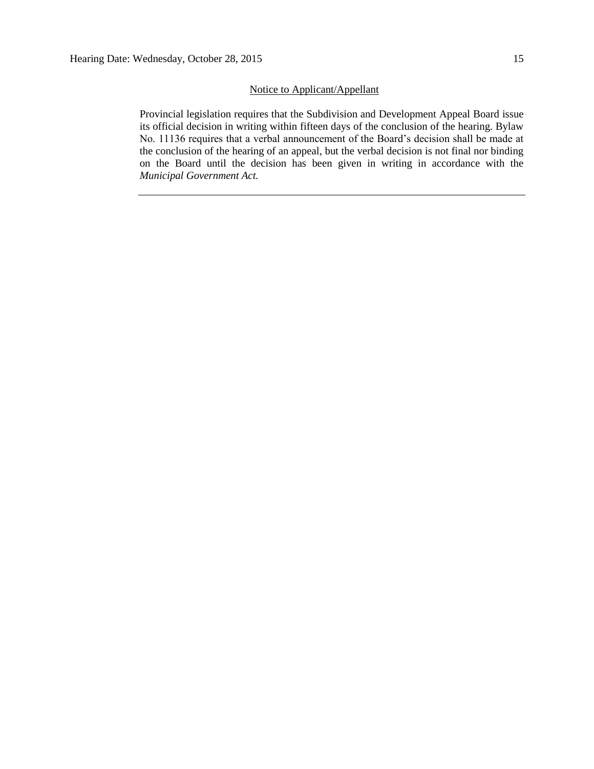## Notice to Applicant/Appellant

Provincial legislation requires that the Subdivision and Development Appeal Board issue its official decision in writing within fifteen days of the conclusion of the hearing. Bylaw No. 11136 requires that a verbal announcement of the Board's decision shall be made at the conclusion of the hearing of an appeal, but the verbal decision is not final nor binding on the Board until the decision has been given in writing in accordance with the *Municipal Government Act.*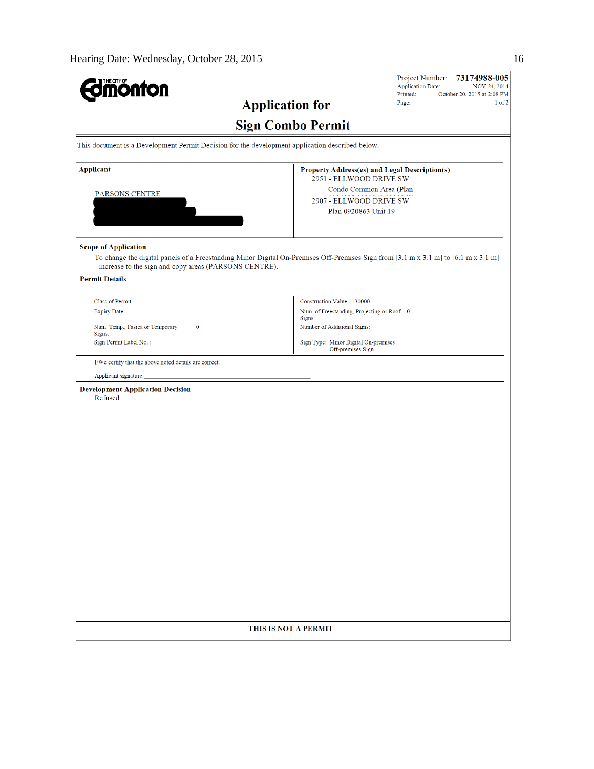| $\mathbf{I}$ THE CITY OF<br><b>iönfon</b>                                                                                                                         |                                                                          | Project Number:<br>73174988-005<br><b>Application Date:</b><br>NOV 24, 2014 |
|-------------------------------------------------------------------------------------------------------------------------------------------------------------------|--------------------------------------------------------------------------|-----------------------------------------------------------------------------|
|                                                                                                                                                                   | <b>Application for</b>                                                   | Printed:<br>October 20, 2015 at 2:08 PM<br>$1$ of $2$<br>Page:              |
|                                                                                                                                                                   | <b>Sign Combo Permit</b>                                                 |                                                                             |
| This document is a Development Permit Decision for the development application described below.                                                                   |                                                                          |                                                                             |
| <b>Applicant</b>                                                                                                                                                  | 2951 - ELLWOOD DRIVE SW                                                  | Property Address(es) and Legal Description(s)                               |
| PARSONS CENTRE                                                                                                                                                    |                                                                          | Condo Common Area (Plan                                                     |
|                                                                                                                                                                   | 2907 - ELLWOOD DRIVE SW                                                  |                                                                             |
|                                                                                                                                                                   | Plan 0920863 Unit 19                                                     |                                                                             |
| <b>Scope of Application</b><br>To change the digital panels of a Freestanding Minor Digital On-Premises Off-Premises Sign from [3.1 m x 3.1 m] to [6.1 m x 3.1 m] |                                                                          |                                                                             |
| - increase to the sign and copy areas (PARSONS CENTRE).<br><b>Permit Details</b>                                                                                  |                                                                          |                                                                             |
|                                                                                                                                                                   |                                                                          |                                                                             |
| Class of Permit:<br><b>Expiry Date:</b>                                                                                                                           | Construction Value: 130000<br>Num. of Freestanding, Projecting or Roof 0 |                                                                             |
| Num. Temp., Fasica or Temporary<br>$\bf{0}$                                                                                                                       | Signs:<br>Number of Additional Signs:                                    |                                                                             |
| Signs:                                                                                                                                                            |                                                                          |                                                                             |
| Sign Permit Label No.:                                                                                                                                            | Sign Type: Minor Digital On-premises<br>Off-premises Sign                |                                                                             |
| I/We certify that the above noted details are correct.                                                                                                            |                                                                          |                                                                             |
| Applicant signature:                                                                                                                                              |                                                                          |                                                                             |
| <b>Development Application Decision</b><br>Refused                                                                                                                |                                                                          |                                                                             |
|                                                                                                                                                                   |                                                                          |                                                                             |
|                                                                                                                                                                   |                                                                          |                                                                             |
|                                                                                                                                                                   |                                                                          |                                                                             |
|                                                                                                                                                                   |                                                                          |                                                                             |
|                                                                                                                                                                   |                                                                          |                                                                             |
|                                                                                                                                                                   |                                                                          |                                                                             |
|                                                                                                                                                                   |                                                                          |                                                                             |
|                                                                                                                                                                   |                                                                          |                                                                             |
|                                                                                                                                                                   |                                                                          |                                                                             |
|                                                                                                                                                                   |                                                                          |                                                                             |
|                                                                                                                                                                   |                                                                          |                                                                             |
|                                                                                                                                                                   |                                                                          |                                                                             |
|                                                                                                                                                                   |                                                                          |                                                                             |
|                                                                                                                                                                   |                                                                          |                                                                             |
|                                                                                                                                                                   |                                                                          |                                                                             |
|                                                                                                                                                                   |                                                                          |                                                                             |
|                                                                                                                                                                   | THIS IS NOT A PERMIT                                                     |                                                                             |
|                                                                                                                                                                   |                                                                          |                                                                             |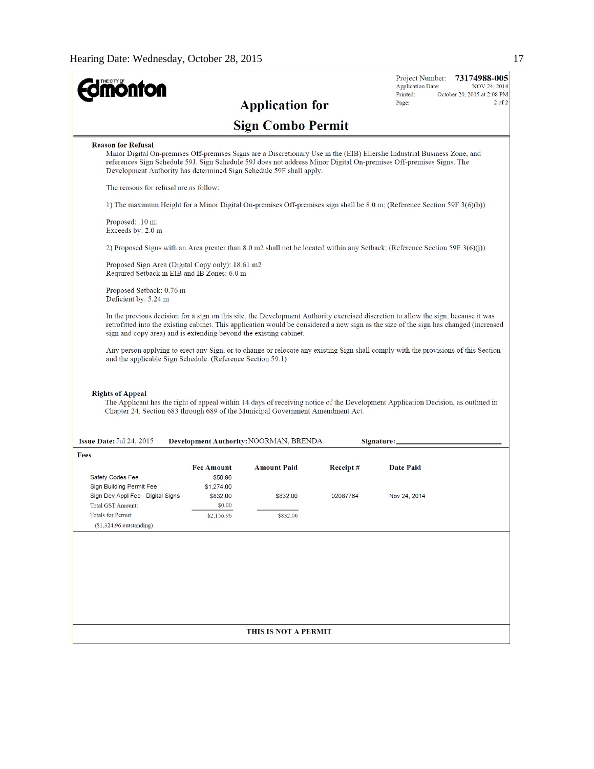| <b>onton</b>                                                                                                                                                            |                              |                                               |          | <b>Application Date:</b><br><b>NOV 24, 2014</b><br>October 20, 2015 at 2:08 PM<br>Printed:                                                                                                                                                                                  |
|-------------------------------------------------------------------------------------------------------------------------------------------------------------------------|------------------------------|-----------------------------------------------|----------|-----------------------------------------------------------------------------------------------------------------------------------------------------------------------------------------------------------------------------------------------------------------------------|
|                                                                                                                                                                         |                              | <b>Application for</b>                        |          | $2$ of $2$<br>Page:                                                                                                                                                                                                                                                         |
|                                                                                                                                                                         |                              | <b>Sign Combo Permit</b>                      |          |                                                                                                                                                                                                                                                                             |
| <b>Reason for Refusal</b><br>Development Authority has determined Sign Schedule 59F shall apply.                                                                        |                              |                                               |          | Minor Digital On-premises Off-premises Signs are a Discretionary Use in the (EIB) Ellerslie Industrial Business Zone, and<br>references Sign Schedule 59J. Sign Schedule 59J does not address Minor Digital On-premises Off-premises Signs. The                             |
| The reasons for refusal are as follow:                                                                                                                                  |                              |                                               |          |                                                                                                                                                                                                                                                                             |
|                                                                                                                                                                         |                              |                                               |          | 1) The maximum Height for a Minor Digital On-premises Off-premises sign shall be 8.0 m; (Reference Section 59F.3(6)(b))                                                                                                                                                     |
| Proposed: 10 m:<br>Exceeds by: 2.0 m                                                                                                                                    |                              |                                               |          |                                                                                                                                                                                                                                                                             |
|                                                                                                                                                                         |                              |                                               |          | 2) Proposed Signs with an Area greater than 8.0 m2 shall not be located within any Setback; (Reference Section 59F.3(6)(j))                                                                                                                                                 |
| Proposed Sign Area (Digital Copy only): 18.61 m2<br>Required Setback in EIB and IB Zones: 6.0 m                                                                         |                              |                                               |          |                                                                                                                                                                                                                                                                             |
| Proposed Setback: 0.76 m<br>Deficient by: 5.24 m                                                                                                                        |                              |                                               |          |                                                                                                                                                                                                                                                                             |
| sign and copy area) and is extending beyond the existing cabinet.                                                                                                       |                              |                                               |          | In the previous decision for a sign on this site, the Development Authority exercised discretion to allow the sign, because it was<br>retrofitted into the existing cabinet. This application would be considered a new sign as the size of the sign has changed (increased |
| and the applicable Sign Schedule. (Reference Section 59.1)<br><b>Rights of Appeal</b><br>Chapter 24, Section 683 through 689 of the Municipal Government Amendment Act. |                              |                                               |          | The Applicant has the right of appeal within 14 days of receiving notice of the Development Application Decision, as outlined in                                                                                                                                            |
| Issue Date: Jul 24, 2015                                                                                                                                                |                              | <b>Development Authority: NOORMAN, BRENDA</b> |          | Signature:                                                                                                                                                                                                                                                                  |
| Fees                                                                                                                                                                    |                              |                                               |          |                                                                                                                                                                                                                                                                             |
| Safety Codes Fee                                                                                                                                                        | <b>Fee Amount</b><br>\$50.96 | <b>Amount Paid</b>                            | Receipt# | <b>Date Paid</b>                                                                                                                                                                                                                                                            |
| Sign Building Permit Fee<br>Sign Dev Appl Fee - Digital Signs                                                                                                           | \$1,274.00<br>\$832.00       | \$832.00                                      | 02087764 | Nov 24, 2014                                                                                                                                                                                                                                                                |
| <b>Total GST Amount:</b><br><b>Totals for Permit:</b>                                                                                                                   | \$0.00<br>\$2,156.96         | \$832.00                                      |          |                                                                                                                                                                                                                                                                             |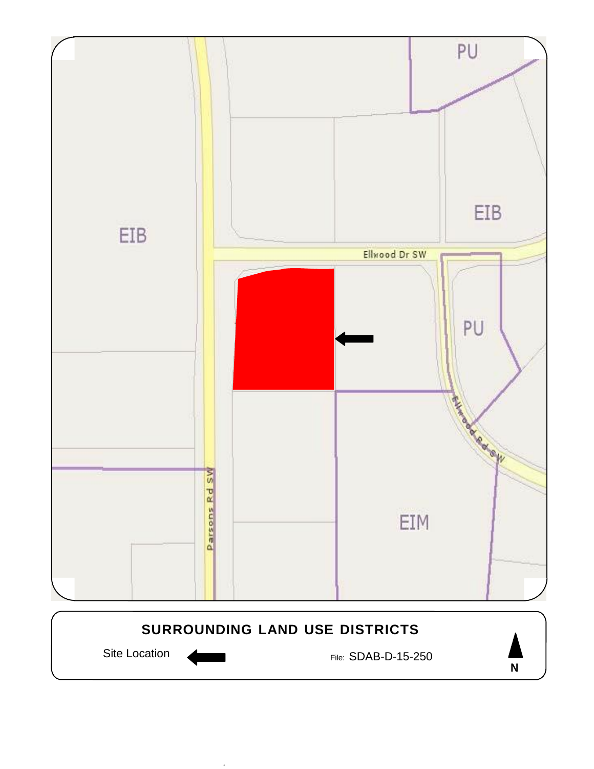